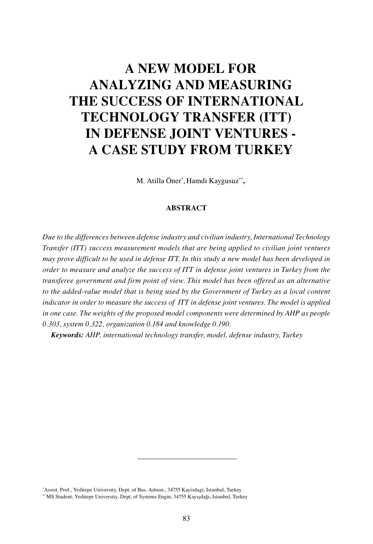# **A NEW MODEL FOR ANALYZING AND MEASURING THE SUCCESS OF INTERNATIONAL TECHNOLOGY TRANSFER (ITT) IN DEFENSE JOINT VENTURES - A CASE STUDY FROM TURKEY**

M. Atilla Öner\* , Hamdi Kaygusuz\*\***,**

#### **ABSTRACT**

*Due to the differences between defense industry and civilian industry, International Technology Transfer (ITT) success measurement models that are being applied to civilian joint ventures may prove difficult to be used in defense ITT. In this study a new model has been developed in order to measure and analyze the success of ITT in defense joint ventures in Turkey from the transferee government and firm point of view. This model has been offered as an alternative to the added-value model that is being used by the Government of Turkey as a local content indicator in order to measure the success of ITT in defense joint ventures. The model is applied in one case. The weights of the proposed model components were determined by AHP as people 0.303, system 0.322, organization 0.184 and knowledge 0.190.* 

*Keywords: AHP, international technology transfer, model, defense industry, Turkey*

<sup>\*</sup> Assist. Prof., Yeditepe University, Dept. of Bus. Admin., 34755 Kayisdagi, Istanbul, Turkey \*\* MS Student, Yeditepe University, Dept. of Systems Engin, 34755 Kayışdağı, Istanbul, Turkey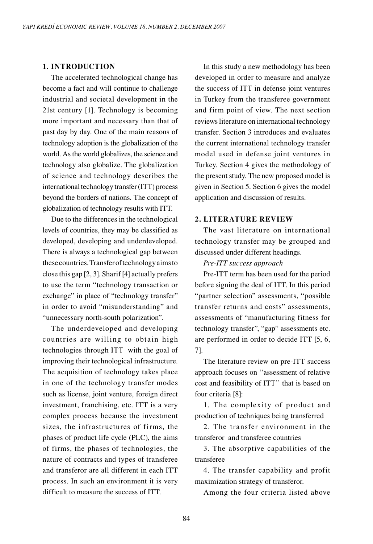#### **1. INTRODUCTION**

The accelerated technological change has become a fact and will continue to challenge industrial and societal development in the 21st century [1]. Technology is becoming more important and necessary than that of past day by day. One of the main reasons of technology adoption is the globalization of the world. As the world globalizes, the science and technology also globalize. The globalization of science and technology describes the international technology transfer (ITT) process beyond the borders of nations. The concept of globalization of technology results with ITT.

Due to the differences in the technological levels of countries, they may be classified as developed, developing and underdeveloped. There is always a technological gap between these countries. Transfer of technology aims to close this gap [2, 3]. Sharif [4] actually prefers to use the term "technology transaction or exchange" in place of "technology transfer" in order to avoid "misunderstanding" and "unnecessary north-south polarization".

The underdeveloped and developing countries are willing to obtain high technologies through ITT with the goal of improving their technological infrastructure. The acquisition of technology takes place in one of the technology transfer modes such as license, joint venture, foreign direct investment, franchising, etc. ITT is a very complex process because the investment sizes, the infrastructures of firms, the phases of product life cycle (PLC), the aims of firms, the phases of technologies, the nature of contracts and types of transferee and transferor are all different in each ITT process. In such an environment it is very difficult to measure the success of ITT.

In this study a new methodology has been developed in order to measure and analyze the success of ITT in defense joint ventures in Turkey from the transferee government and firm point of view. The next section reviews literature on international technology transfer. Section 3 introduces and evaluates the current international technology transfer model used in defense joint ventures in Turkey. Section 4 gives the methodology of the present study. The new proposed model is given in Section 5. Section 6 gives the model application and discussion of results.

# **2. LITERATURE REVIEW**

The vast literature on international technology transfer may be grouped and discussed under different headings.

#### *Pre-ITT success approach*

Pre-ITT term has been used for the period before signing the deal of ITT. In this period "partner selection" assessments, "possible transfer returns and costs" assessments, assessments of "manufacturing fitness for technology transfer", "gap" assessments etc. are performed in order to decide ITT [5, 6, 7].

The literature review on pre-ITT success approach focuses on ''assessment of relative cost and feasibility of ITT'' that is based on four criteria [8]:

1. The complexity of product and production of techniques being transferred

2. The transfer environment in the transferor and transferee countries

3. The absorptive capabilities of the transferee

4. The transfer capability and profit maximization strategy of transferor.

Among the four criteria listed above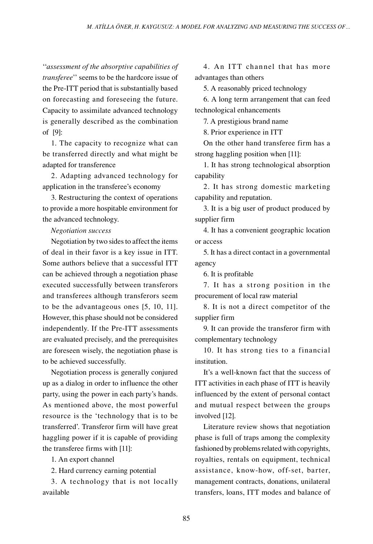''*assessment of the absorptive capabilities of transferee*'' seems to be the hardcore issue of the Pre-ITT period that is substantially based on forecasting and foreseeing the future. Capacity to assimilate advanced technology is generally described as the combination of [9]:

1. The capacity to recognize what can be transferred directly and what might be adapted for transference

2. Adapting advanced technology for application in the transferee's economy

3. Restructuring the context of operations to provide a more hospitable environment for the advanced technology.

#### *Negotiation success*

Negotiation by two sides to affect the items of deal in their favor is a key issue in ITT. Some authors believe that a successful ITT can be achieved through a negotiation phase executed successfully between transferors and transferees although transferors seem to be the advantageous ones [5, 10, 11]. However, this phase should not be considered independently. If the Pre-ITT assessments are evaluated precisely, and the prerequisites are foreseen wisely, the negotiation phase is to be achieved successfully.

Negotiation process is generally conjured up as a dialog in order to influence the other party, using the power in each party's hands. As mentioned above, the most powerful resource is the 'technology that is to be transferred'. Transferor firm will have great haggling power if it is capable of providing the transferee firms with [11]:

1. An export channel

2. Hard currency earning potential

3. A technology that is not locally available

4. An ITT channel that has more advantages than others

5. A reasonably priced technology

6. A long term arrangement that can feed technological enhancements

7. A prestigious brand name

8. Prior experience in ITT

On the other hand transferee firm has a strong haggling position when [11]:

1. It has strong technological absorption capability

2. It has strong domestic marketing capability and reputation.

3. It is a big user of product produced by supplier firm

4. It has a convenient geographic location or access

5. It has a direct contact in a governmental agency

6. It is profitable

7. It has a strong position in the procurement of local raw material

8. It is not a direct competitor of the supplier firm

9. It can provide the transferor firm with complementary technology

10. It has strong ties to a financial institution.

It's a well-known fact that the success of ITT activities in each phase of ITT is heavily influenced by the extent of personal contact and mutual respect between the groups involved [12].

Literature review shows that negotiation phase is full of traps among the complexity fashioned by problems related with copyrights, royalties, rentals on equipment, technical assistance, know-how, off-set, barter, management contracts, donations, unilateral transfers, loans, ITT modes and balance of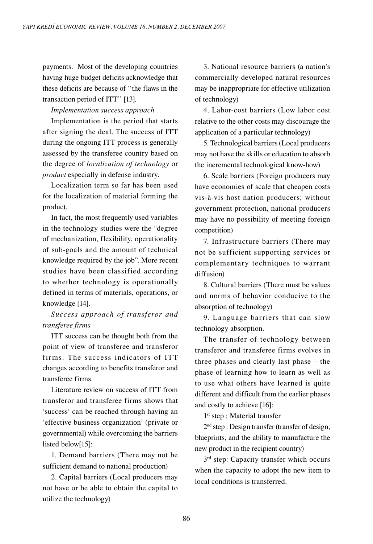payments. Most of the developing countries having huge budget deficits acknowledge that these deficits are because of ''the flaws in the transaction period of ITT'' [13].

*Implementation success approach* 

Implementation is the period that starts after signing the deal. The success of ITT during the ongoing ITT process is generally assessed by the transferee country based on the degree of *localization of technology* or *product* especially in defense industry.

Localization term so far has been used for the localization of material forming the product.

In fact, the most frequently used variables in the technology studies were the "degree of mechanization, flexibility, operationality of sub-goals and the amount of technical knowledge required by the job". More recent studies have been classified according to whether technology is operationally defined in terms of materials, operations, or knowledge [14].

*Success approach of transferor and transferee firms*

ITT success can be thought both from the point of view of transferee and transferor firms. The success indicators of ITT changes according to benefits transferor and transferee firms.

Literature review on success of ITT from transferor and transferee firms shows that 'success' can be reached through having an 'effective business organization' (private or governmental) while overcoming the barriers listed below[15]:

1. Demand barriers (There may not be sufficient demand to national production)

2. Capital barriers (Local producers may not have or be able to obtain the capital to utilize the technology)

3. National resource barriers (a nation's commercially-developed natural resources may be inappropriate for effective utilization of technology)

4. Labor-cost barriers (Low labor cost relative to the other costs may discourage the application of a particular technology)

5. Technological barriers (Local producers may not have the skills or education to absorb the incremental technological know-how)

6. Scale barriers (Foreign producers may have economies of scale that cheapen costs vis-à-vis host nation producers; without government protection, national producers may have no possibility of meeting foreign competition)

7. Infrastructure barriers (There may not be sufficient supporting services or complementary techniques to warrant diffusion)

8. Cultural barriers (There must be values and norms of behavior conducive to the absorption of technology)

9. Language barriers that can slow technology absorption.

The transfer of technology between transferor and transferee firms evolves in three phases and clearly last phase – the phase of learning how to learn as well as to use what others have learned is quite different and difficult from the earlier phases and costly to achieve [16]:

1<sup>st</sup> step : Material transfer

2nd step : Design transfer (transfer of design, blueprints, and the ability to manufacture the new product in the recipient country)

 $3<sup>rd</sup>$  step: Capacity transfer which occurs when the capacity to adopt the new item to local conditions is transferred.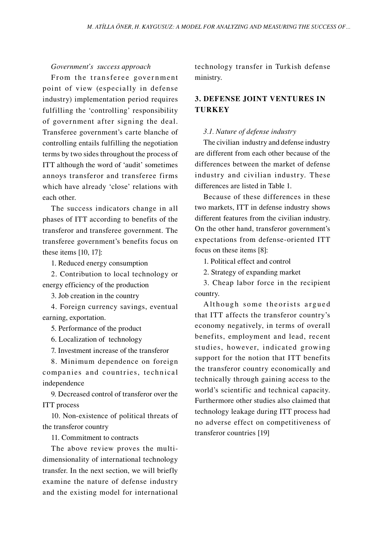*Government's success approach*

From the transferee government point of view (especially in defense industry) implementation period requires fulfilling the 'controlling' responsibility of government after signing the deal. Transferee government's carte blanche of controlling entails fulfilling the negotiation terms by two sides throughout the process of ITT although the word of 'audit' sometimes annoys transferor and transferee firms which have already 'close' relations with each other.

The success indicators change in all phases of ITT according to benefits of the transferor and transferee government. The transferee government's benefits focus on these items [10, 17]:

1. Reduced energy consumption

2. Contribution to local technology or energy efficiency of the production

3. Job creation in the country

4. Foreign currency savings, eventual earning, exportation.

5. Performance of the product

6. Localization of technology

7. Investment increase of the transferor

8. Minimum dependence on foreign companies and countries, technical independence

9. Decreased control of transferor over the ITT process

10. Non-existence of political threats of the transferor country

11. Commitment to contracts

The above review proves the multidimensionality of international technology transfer. In the next section, we will briefly examine the nature of defense industry and the existing model for international technology transfer in Turkish defense ministry.

# **3. DEFENSE JOINT VENTURES IN TURKEY**

#### *3.1. Nature of defense industry*

The civilian industry and defense industry are different from each other because of the differences between the market of defense industry and civilian industry. These differences are listed in Table 1.

Because of these differences in these two markets, ITT in defense industry shows different features from the civilian industry. On the other hand, transferor government's expectations from defense-oriented ITT focus on these items [8]:

1. Political effect and control

2. Strategy of expanding market

3. Cheap labor force in the recipient country.

Although some theorists argued that ITT affects the transferor country's economy negatively, in terms of overall benefits, employment and lead, recent studies, however, indicated growing support for the notion that ITT benefits the transferor country economically and technically through gaining access to the world's scientific and technical capacity. Furthermore other studies also claimed that technology leakage during ITT process had no adverse effect on competitiveness of transferor countries [19]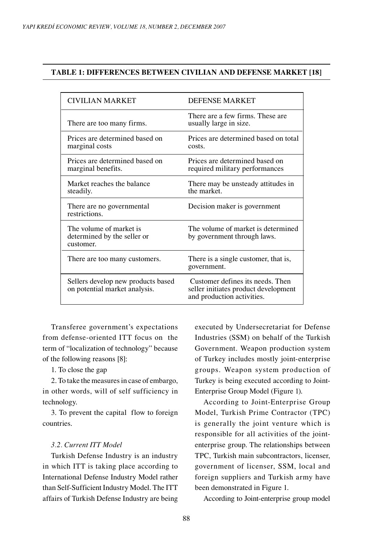### **TABLE 1: DIFFERENCES BETWEEN CIVILIAN AND DEFENSE MARKET [18]**

| <b>CIVILIAN MARKET</b>                                              | <b>DEFENSE MARKET</b>                                                                                  |
|---------------------------------------------------------------------|--------------------------------------------------------------------------------------------------------|
| There are too many firms.                                           | There are a few firms. These are<br>usually large in size.                                             |
| Prices are determined based on<br>marginal costs                    | Prices are determined based on total<br>costs.                                                         |
| Prices are determined based on<br>marginal benefits.                | Prices are determined based on<br>required military performances                                       |
| Market reaches the balance<br>steadily.                             | There may be unsteady attitudes in<br>the market                                                       |
| There are no governmental<br>restrictions.                          | Decision maker is government                                                                           |
| The volume of market is<br>determined by the seller or<br>customer. | The volume of market is determined<br>by government through laws.                                      |
| There are too many customers.                                       | There is a single customer, that is,<br>government.                                                    |
| Sellers develop new products based<br>on potential market analysis. | Customer defines its needs. Then<br>seller initiates product development<br>and production activities. |

Transferee government's expectations from defense-oriented ITT focus on the term of "localization of technology" because of the following reasons [8]:

1. To close the gap

2. To take the measures in case of embargo, in other words, will of self sufficiency in technology.

3. To prevent the capital flow to foreign countries.

# *3.2. Current ITT Model*

Turkish Defense Industry is an industry in which ITT is taking place according to International Defense Industry Model rather than Self-Sufficient Industry Model. The ITT affairs of Turkish Defense Industry are being

executed by Undersecretariat for Defense Industries (SSM) on behalf of the Turkish Government. Weapon production system of Turkey includes mostly joint-enterprise groups. Weapon system production of Turkey is being executed according to Joint-Enterprise Group Model (Figure 1).

According to Joint-Enterprise Group Model, Turkish Prime Contractor (TPC) is generally the joint venture which is responsible for all activities of the jointenterprise group. The relationships between TPC, Turkish main subcontractors, licenser, government of licenser, SSM, local and foreign suppliers and Turkish army have been demonstrated in Figure 1.

According to Joint-enterprise group model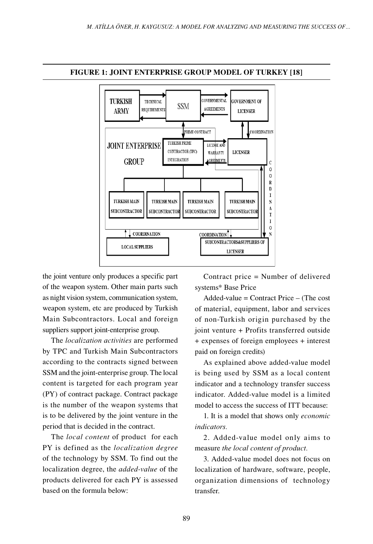

#### **FIGURE 1: JOINT ENTERPRISE GROUP MODEL OF TURKEY [18]**

the joint venture only produces a specific part of the weapon system. Other main parts such as night vision system, communication system, weapon system, etc are produced by Turkish Main Subcontractors. Local and foreign suppliers support joint-enterprise group.

The *localization activities* are performed by TPC and Turkish Main Subcontractors according to the contracts signed between SSM and the joint-enterprise group. The local content is targeted for each program year (PY) of contract package. Contract package is the number of the weapon systems that is to be delivered by the joint venture in the period that is decided in the contract.

The *local content* of product for each PY is defined as the *localization degree* of the technology by SSM. To find out the localization degree, the *added-value* of the products delivered for each PY is assessed based on the formula below:

Contract price = Number of delivered systems\* Base Price

Added-value = Contract Price – (The cost of material, equipment, labor and services of non-Turkish origin purchased by the joint venture + Profits transferred outside + expenses of foreign employees + interest paid on foreign credits)

As explained above added-value model is being used by SSM as a local content indicator and a technology transfer success indicator. Added-value model is a limited model to access the success of ITT because:

1. It is a model that shows only *economic indicators.*

2. Added-value model only aims to measure *the local content of product.*

3. Added-value model does not focus on localization of hardware, software, people, organization dimensions of technology transfer.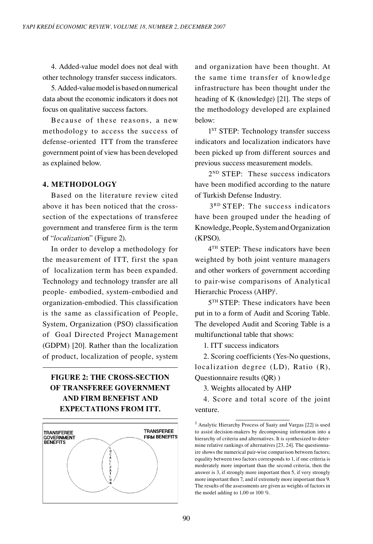4. Added-value model does not deal with other technology transfer success indicators.

5. Added-value model is based on numerical data about the economic indicators it does not focus on qualitative success factors.

Because of these reasons, a new methodology to access the success of defense-oriented ITT from the transferee government point of view has been developed as explained below.

# **4. METHODOLOGY**

Based on the literature review cited above it has been noticed that the crosssection of the expectations of transferee government and transferee firm is the term of "*localizatio*n" (Figure 2).

In order to develop a methodology for the measurement of ITT, first the span of localization term has been expanded. Technology and technology transfer are all people- embodied, system-embodied and organization-embodied. This classification is the same as classification of People, System, Organization (PSO) classification of Goal Directed Project Management (GDPM) [20]. Rather than the localization of product, localization of people, system

# **FIGURE 2: THE CROSS-SECTION OF TRANSFEREE GOVERNMENT AND FIRM BENEFIST AND EXPECTATIONS FROM ITT.**



and organization have been thought. At the same time transfer of knowledge infrastructure has been thought under the heading of K (knowledge) [21]. The steps of the methodology developed are explained below:

1<sup>ST</sup> STEP: Technology transfer success indicators and localization indicators have been picked up from different sources and previous success measurement models.

2<sup>ND</sup> STEP: These success indicators have been modified according to the nature of Turkish Defense Industry.

3<sup>RD</sup> STEP: The success indicators have been grouped under the heading of Knowledge, People, System and Organization (KPSO).

 4TH STEP: These indicators have been weighted by both joint venture managers and other workers of government according to pair-wise comparisons of Analytical Hierarchic Process (AHP)<sup>1</sup>.

 5TH STEP: These indicators have been put in to a form of Audit and Scoring Table. The developed Audit and Scoring Table is a multifunctional table that shows:

1. ITT success indicators

2. Scoring coefficients (Yes-No questions, localization degree (LD), Ratio (R), Questionnaire results (QR) )

3. Weights allocated by AHP

4. Score and total score of the joint venture.

<sup>1</sup> Analytic Hierarchy Process of Saaty and Vargas [22] is used to assist decision-makers by decomposing information into a hierarchy of criteria and alternatives. It is synthesized to determine relative rankings of alternatives [23, 24]. The questionnaire shows the numerical pair-wise comparison between factors; equality between two factors corresponds to 1, if one criteria is moderately more important than the second criteria, then the answer is 3, if strongly more important then 5, if very strongly more important then 7, and if extremely more important then 9. The results of the assessments are given as weights of factors in the model adding to 1,00 or 100 %.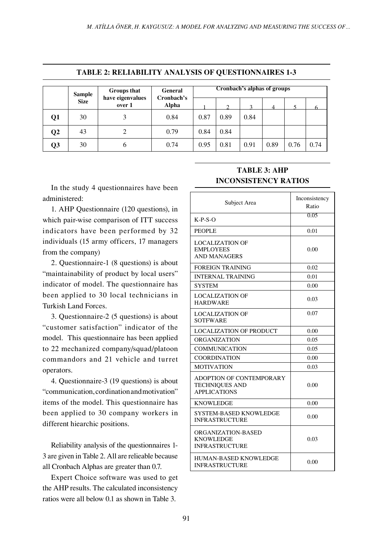|                 | Cronbach's alphas of groups<br>Groups that<br>General<br><b>Sample</b><br>Cronbach's<br>have eigenvalues |        |       |      |               |                         |      |      |      |
|-----------------|----------------------------------------------------------------------------------------------------------|--------|-------|------|---------------|-------------------------|------|------|------|
|                 | <b>Size</b>                                                                                              | over 1 | Alpha |      | $\mathcal{L}$ | $\mathbf{\overline{3}}$ | 4    |      |      |
| Q1              | 30                                                                                                       | 3      | 0.84  | 0.87 | 0.89          | 0.84                    |      |      |      |
| $\overline{Q2}$ | 43                                                                                                       | 2      | 0.79  | 0.84 | 0.84          |                         |      |      |      |
| Q3              | 30                                                                                                       | 6      | 0.74  | 0.95 | 0.81          | 0.91                    | 0.89 | 0.76 | 0.74 |

#### **TABLE 2: RELIABILITY ANALYSIS OF QUESTIONNAIRES 1-3**

In the study 4 questionnaires have been administered:

1. AHP Questionnaire (120 questions), in which pair-wise comparison of ITT success indicators have been performed by 32 individuals (15 army officers, 17 managers from the company)

2. Questionnaire-1 (8 questions) is about "maintainability of product by local users" indicator of model. The questionnaire has been applied to 30 local technicians in Turkish Land Forces.

3. Questionnaire-2 (5 questions) is about "customer satisfaction" indicator of the model. This questionnaire has been applied to 22 mechanized company/squad/platoon commandors and 21 vehicle and turret operators.

4. Questionnaire-3 (19 questions) is about "communication, cordination and motivation" items of the model. This questionnaire has been applied to 30 company workers in different hiearchic positions.

Reliability analysis of the questionnaires 1- 3 are given in Table 2. All are relieable because all Cronbach Alphas are greater than 0.7.

Expert Choice software was used to get the AHP results. The calculated inconsistency ratios were all below 0.1 as shown in Table 3.

# **TABLE 3: AHP INCONSISTENCY RATIOS**

| Subject Area                                                                    | Inconsistency<br>Ratio |
|---------------------------------------------------------------------------------|------------------------|
| $K-P-S-O$                                                                       | 0.05                   |
| <b>PEOPLE</b>                                                                   | 0.01                   |
| <b>LOCALIZATION OF</b><br><b>EMPLOYEES</b><br><b>AND MANAGERS</b>               | 0.00                   |
| <b>FOREIGN TRAINING</b>                                                         | 0.02                   |
| <b>INTERNAL TRAINING</b>                                                        | 0.01                   |
| SYSTEM                                                                          | 0.00                   |
| <b>LOCALIZATION OF</b><br><b>HARDWARE</b>                                       | 0.03                   |
| <b>LOCALIZATION OF</b><br><b>SOTFWARE</b>                                       | 0.07                   |
| <b>LOCALIZATION OF PRODUCT</b>                                                  | 0.00                   |
| <b>ORGANIZATION</b>                                                             | 0.05                   |
| <b>COMMUNICATION</b>                                                            | 0.05                   |
| <b>COORDINATION</b>                                                             | 0.00                   |
| <b>MOTIVATION</b>                                                               | 0.03                   |
| <b>ADOPTION OF CONTEMPORARY</b><br><b>TECHNIQUES AND</b><br><b>APPLICATIONS</b> | 0.00                   |
| <b>KNOWLEDGE</b>                                                                | 0.00                   |
| SYSTEM-BASED KNOWLEDGE<br><b>INFRASTRUCTURE</b>                                 | 0.00                   |
| ORGANIZATION-BASED<br><b>KNOWLEDGE</b><br><b>INFRASTRUCTURE</b>                 | 0.03                   |
| HUMAN-BASED KNOWLEDGE<br><b>INFRASTRUCTURE</b>                                  | 0.00                   |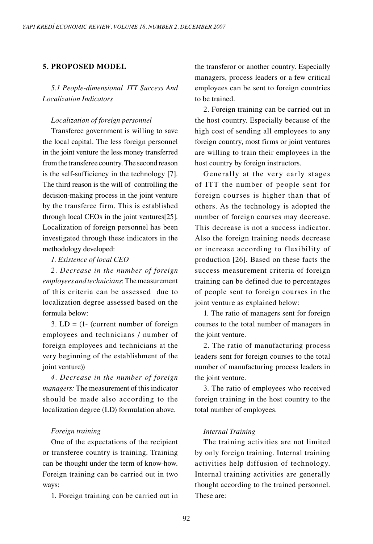# **5. PROPOSED MODEL**

*5.1 People-dimensional ITT Success And Localization Indicators*

#### *Localization of foreign personnel*

Transferee government is willing to save the local capital. The less foreign personnel in the joint venture the less money transferred from the transferee country. The second reason is the self-sufficiency in the technology [7]. The third reason is the will of controlling the decision-making process in the joint venture by the transferee firm. This is established through local CEOs in the joint ventures[25]. Localization of foreign personnel has been investigated through these indicators in the methodology developed:

*1. Existence of local CEO*

*2. Decrease in the number of foreign employees and technicians*: The measurement of this criteria can be assessed due to localization degree assessed based on the formula below:

3.  $LD = (1 - (current number of foreign$ employees and technicians / number of foreign employees and technicians at the very beginning of the establishment of the joint venture))

*4. Decrease in the number of foreign managers:* The measurement of this indicator should be made also according to the localization degree (LD) formulation above.

#### *Foreign training*

One of the expectations of the recipient or transferee country is training. Training can be thought under the term of know-how. Foreign training can be carried out in two ways:

1. Foreign training can be carried out in

the transferor or another country. Especially managers, process leaders or a few critical employees can be sent to foreign countries to be trained.

2. Foreign training can be carried out in the host country. Especially because of the high cost of sending all employees to any foreign country, most firms or joint ventures are willing to train their employees in the host country by foreign instructors.

Generally at the very early stages of ITT the number of people sent for foreign courses is higher than that of others. As the technology is adopted the number of foreign courses may decrease. This decrease is not a success indicator. Also the foreign training needs decrease or increase according to flexibility of production [26]. Based on these facts the success measurement criteria of foreign training can be defined due to percentages of people sent to foreign courses in the joint venture as explained below:

1. The ratio of managers sent for foreign courses to the total number of managers in the joint venture.

2. The ratio of manufacturing process leaders sent for foreign courses to the total number of manufacturing process leaders in the joint venture.

3. The ratio of employees who received foreign training in the host country to the total number of employees.

#### *Internal Training*

The training activities are not limited by only foreign training. Internal training activities help diffusion of technology. Internal training activities are generally thought according to the trained personnel. These are: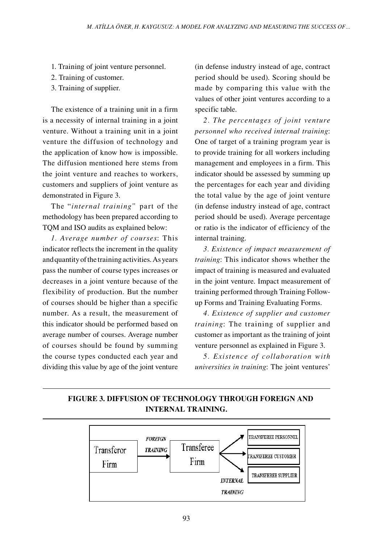- 1. Training of joint venture personnel.
- 2. Training of customer.
- 3. Training of supplier.

The existence of a training unit in a firm is a necessity of internal training in a joint venture. Without a training unit in a joint venture the diffusion of technology and the application of know how is impossible. The diffusion mentioned here stems from the joint venture and reaches to workers, customers and suppliers of joint venture as demonstrated in Figure 3.

The "*internal training"* part of the methodology has been prepared according to TQM and ISO audits as explained below:

*1. Average number of courses*: This indicator reflects the increment in the quality and quantity of the training activities. As years pass the number of course types increases or decreases in a joint venture because of the flexibility of production. But the number of courses should be higher than a specific number. As a result, the measurement of this indicator should be performed based on average number of courses. Average number of courses should be found by summing the course types conducted each year and dividing this value by age of the joint venture

(in defense industry instead of age, contract period should be used). Scoring should be made by comparing this value with the values of other joint ventures according to a specific table.

*2. The percentages of joint venture personnel who received internal training*: One of target of a training program year is to provide training for all workers including management and employees in a firm. This indicator should be assessed by summing up the percentages for each year and dividing the total value by the age of joint venture (in defense industry instead of age, contract period should be used). Average percentage or ratio is the indicator of efficiency of the internal training.

*3. Existence of impact measurement of training*: This indicator shows whether the impact of training is measured and evaluated in the joint venture. Impact measurement of training performed through Training Followup Forms and Training Evaluating Forms.

*4. Existence of supplier and customer training*: The training of supplier and customer as important as the training of joint venture personnel as explained in Figure 3.

*5. Existence of collaboration with universities in training*: The joint ventures'

# **FIGURE 3. DIFFUSION OF TECHNOLOGY THROUGH FOREIGN AND INTERNAL TRAINING.**

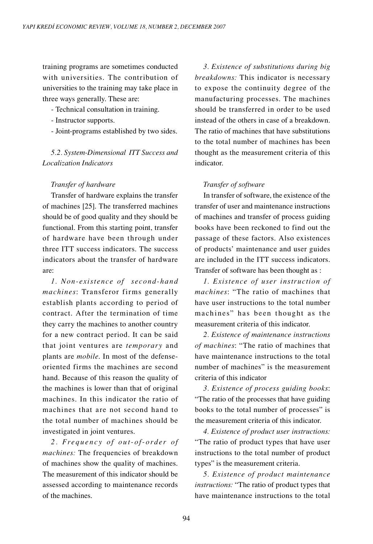training programs are sometimes conducted with universities. The contribution of universities to the training may take place in three ways generally. These are:

- Technical consultation in training.
- Instructor supports.
- Joint-programs established by two sides.

*5.2. System-Dimensional ITT Success and Localization Indicators*

#### *Transfer of hardware*

Transfer of hardware explains the transfer of machines [25]. The transferred machines should be of good quality and they should be functional. From this starting point, transfer of hardware have been through under three ITT success indicators. The success indicators about the transfer of hardware are:

*1. Non-existence of second-hand machines*: Transferor firms generally establish plants according to period of contract. After the termination of time they carry the machines to another country for a new contract period. It can be said that joint ventures are *temporary* and plants are *mobile*. In most of the defenseoriented firms the machines are second hand. Because of this reason the quality of the machines is lower than that of original machines. In this indicator the ratio of machines that are not second hand to the total number of machines should be investigated in joint ventures.

2. Frequency of out-of-order of *machines:* The frequencies of breakdown of machines show the quality of machines. The measurement of this indicator should be assessed according to maintenance records of the machines.

*3. Existence of substitutions during big breakdowns:* This indicator is necessary to expose the continuity degree of the manufacturing processes. The machines should be transferred in order to be used instead of the others in case of a breakdown. The ratio of machines that have substitutions to the total number of machines has been thought as the measurement criteria of this indicator.

# *Transfer of software*

In transfer of software, the existence of the transfer of user and maintenance instructions of machines and transfer of process guiding books have been reckoned to find out the passage of these factors. Also existences of products' maintenance and user guides are included in the ITT success indicators. Transfer of software has been thought as :

*1. Existence of user instruction of machines*: "The ratio of machines that have user instructions to the total number machines" has been thought as the measurement criteria of this indicator.

*2. Existence of maintenance instructions of machines*: "The ratio of machines that have maintenance instructions to the total number of machines" is the measurement criteria of this indicator

*3. Existence of process guiding books*: "The ratio of the processes that have guiding books to the total number of processes" is the measurement criteria of this indicator.

*4. Existence of product user instructions:*  "The ratio of product types that have user instructions to the total number of product types" is the measurement criteria.

*5. Existence of product maintenance instructions:* "The ratio of product types that have maintenance instructions to the total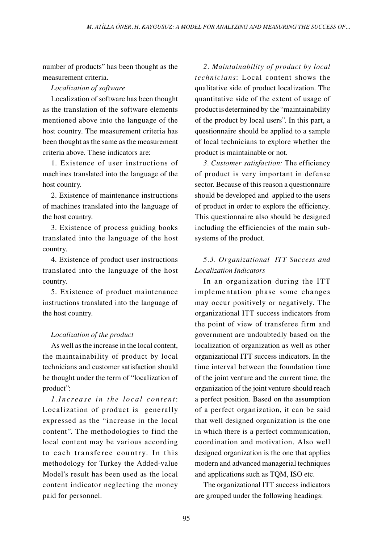number of products" has been thought as the measurement criteria.

# *Localization of software*

Localization of software has been thought as the translation of the software elements mentioned above into the language of the host country. The measurement criteria has been thought as the same as the measurement criteria above. These indicators are:

1. Existence of user instructions of machines translated into the language of the host country.

2. Existence of maintenance instructions of machines translated into the language of the host country.

3. Existence of process guiding books translated into the language of the host country.

4. Existence of product user instructions translated into the language of the host country.

5. Existence of product maintenance instructions translated into the language of the host country.

# *Localization of the product*

As well as the increase in the local content, the maintainability of product by local technicians and customer satisfaction should be thought under the term of "localization of product":

*1. Increase in the local content:* Localization of product is generally expressed as the "increase in the local content". The methodologies to find the local content may be various according to each transferee country. In this methodology for Turkey the Added-value Model's result has been used as the local content indicator neglecting the money paid for personnel.

*2. Maintainability of product by local technicians*: Local content shows the qualitative side of product localization. The quantitative side of the extent of usage of product is determined by the "maintainability of the product by local users". In this part, a questionnaire should be applied to a sample of local technicians to explore whether the product is maintainable or not.

*3. Customer satisfaction:* The efficiency of product is very important in defense sector. Because of this reason a questionnaire should be developed and applied to the users of product in order to explore the efficiency. This questionnaire also should be designed including the efficiencies of the main subsystems of the product.

# *5.3. Organizational ITT Success and Localization Indicators*

In an organization during the ITT implementation phase some changes may occur positively or negatively. The organizational ITT success indicators from the point of view of transferee firm and government are undoubtedly based on the localization of organization as well as other organizational ITT success indicators. In the time interval between the foundation time of the joint venture and the current time, the organization of the joint venture should reach a perfect position. Based on the assumption of a perfect organization, it can be said that well designed organization is the one in which there is a perfect communication, coordination and motivation. Also well designed organization is the one that applies modern and advanced managerial techniques and applications such as TQM, ISO etc.

The organizational ITT success indicators are grouped under the following headings: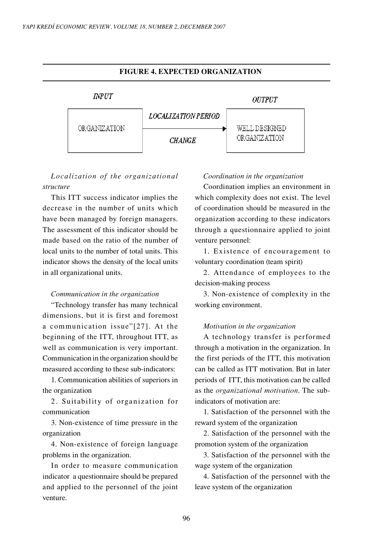

# *Localization of the organizational structure*

This ITT success indicator implies the decrease in the number of units which have been managed by foreign managers. The assessment of this indicator should be made based on the ratio of the number of local units to the number of total units. This indicator shows the density of the local units in all organizational units.

#### *Communication in the organization*

"Technology transfer has many technical dimensions, but it is first and foremost a com munication issue"[27]. At the beginning of the ITT, throughout ITT, as well as communication is very important. Communication in the organization should be measured according to these sub-indicators:

1. Communication abilities of superiors in the organization

2. Suitability of organization for communication

3. Non-existence of time pressure in the organization

4. Non-existence of foreign language problems in the organization.

In order to measure communication indicator a questionnaire should be prepared and applied to the personnel of the joint venture.

#### *Coordination in the organization*

Coordination implies an environment in which complexity does not exist. The level of coordination should be measured in the organization according to these indicators through a questionnaire applied to joint venture personnel:

1. Existence of encouragement to voluntary coordination (team spirit)

2. Attendance of employees to the decision-making process

3. Non-existence of complexity in the working environment.

#### *Motivation in the organization*

A technology transfer is performed through a motivation in the organization. In the first periods of the ITT, this motivation can be called as ITT motivation. But in later periods of ITT, this motivation can be called as the *organizational motivation*. The subindicators of motivation are:

1. Satisfaction of the personnel with the reward system of the organization

2. Satisfaction of the personnel with the promotion system of the organization

3. Satisfaction of the personnel with the wage system of the organization

4. Satisfaction of the personnel with the leave system of the organization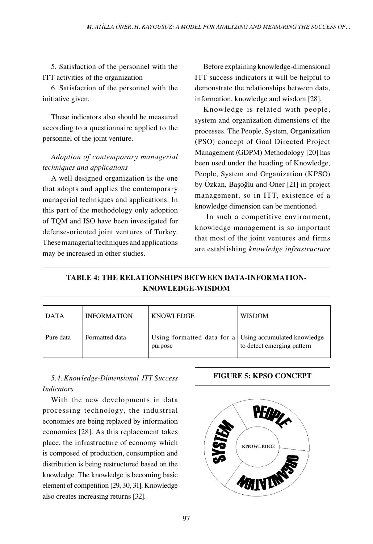5. Satisfaction of the personnel with the ITT activities of the organization

6. Satisfaction of the personnel with the initiative given.

These indicators also should be measured according to a questionnaire applied to the personnel of the joint venture.

# *Adoption of contemporary managerial techniques and applications*

A well designed organization is the one that adopts and applies the contemporary managerial techniques and applications. In this part of the methodology only adoption of TQM and ISO have been investigated for defense-oriented joint ventures of Turkey. These managerial techniques and applications may be increased in other studies.

Before explaining knowledge-dimensional ITT success indicators it will be helpful to demonstrate the relationships between data, information, knowledge and wisdom [28].

Knowledge is related with people, system and organization dimensions of the processes. The People, System, Organization (PSO) concept of Goal Directed Project Management (GDPM) Methodology [20] has been used under the heading of Knowledge, People, System and Organization (KPSO) by Özkan, Başoğlu and Oner [21] in project management, so in ITT, existence of a knowledge dimension can be mentioned.

 In such a competitive environment, knowledge management is so important that most of the joint ventures and firms are establishing *knowledge infrastructure*

# **TABLE 4: THE RELATIONSHIPS BETWEEN DATA-INFORMATION-KNOWLEDGE-WISDOM**

| <b>DATA</b> | <b>INFORMATION</b> | <b>KNOWLEDGE</b>                                                  | <b>WISDOM</b>              |
|-------------|--------------------|-------------------------------------------------------------------|----------------------------|
| Pure data   | Formatted data     | Using formatted data for a Using accumulated knowledge<br>purpose | to detect emerging pattern |

# *5.4. Knowledge-Dimensional ITT Success* **FIGURE 5: KPSO CONCEPT** *Indicators*

With the new developments in data processing technology, the industrial economies are being replaced by information economies [28]. As this replacement takes place, the infrastructure of economy which is composed of production, consumption and distribution is being restructured based on the knowledge. The knowledge is becoming basic element of competition [29, 30, 31]. Knowledge also creates increasing returns [32].

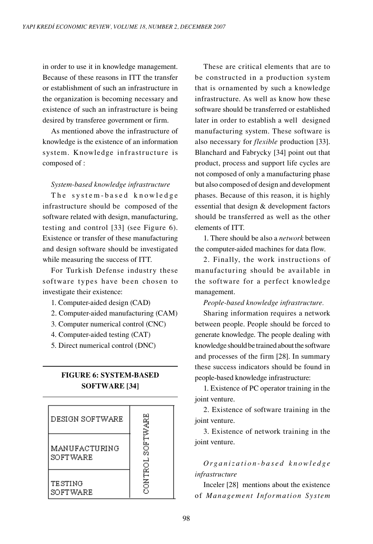in order to use it in knowledge management. Because of these reasons in ITT the transfer or establishment of such an infrastructure in the organization is becoming necessary and existence of such an infrastructure is being desired by transferee government or firm.

As mentioned above the infrastructure of knowledge is the existence of an information system. Knowledge infrastructure is composed of :

#### *System-based knowledge infrastructure*

The system-based knowledge infrastructure should be composed of the software related with design, manufacturing, testing and control [33] (see Figure 6). Existence or transfer of these manufacturing and design software should be investigated while measuring the success of ITT.

For Turkish Defense industry these software types have been chosen to investigate their existence:

- 1. Computer-aided design (CAD)
- 2. Computer-aided manufacturing (CAM)
- 3. Computer numerical control (CNC)
- 4. Computer-aided testing (CAT)
- 5. Direct numerical control (DNC)

# **FIGURE 6: SYSTEM-BASED SOFTWARE [34]**

| DESIGN SOFTWARE           |                 |
|---------------------------|-----------------|
| MANUFACTURING<br>SOFTWARE | <b>SOFTWARE</b> |
| TESTING<br>SOFTWARE       | ONTROL<br>n     |

These are critical elements that are to be constructed in a production system that is ornamented by such a knowledge infrastructure. As well as know how these software should be transferred or established later in order to establish a well designed manufacturing system. These software is also necessary for *flexible* production [33]. Blanchard and Fabrycky [34] point out that product, process and support life cycles are not composed of only a manufacturing phase but also composed of design and development phases. Because of this reason, it is highly essential that design & development factors should be transferred as well as the other elements of ITT.

1. There should be also a *network* between the computer-aided machines for data flow.

2. Finally, the work instructions of manufacturing should be available in the software for a perfect knowledge management.

*People-based knowledge infrastructure.*

Sharing information requires a network between people. People should be forced to generate knowledge. The people dealing with knowledge should be trained about the software and processes of the firm [28]. In summary these success indicators should be found in people-based knowledge infrastructure:

1. Existence of PC operator training in the joint venture.

2. Existence of software training in the joint venture.

3. Existence of network training in the joint venture.

*O rg a n i z a t i o n - b a s e d k n o w l e d g e infrastructure*

Inceler [28] mentions about the existence of *Management Inform ation System*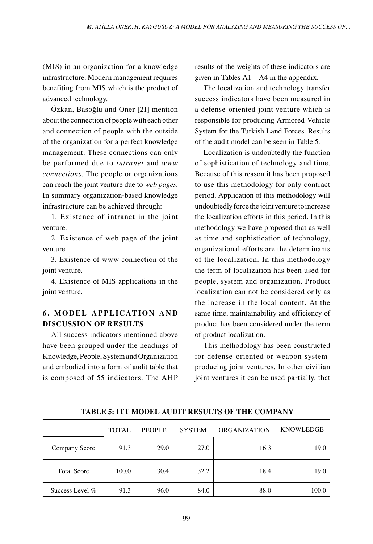(MIS) in an organization for a knowledge infrastructure. Modern management requires benefiting from MIS which is the product of advanced technology.

Özkan, Basoğlu and Oner [21] mention about the connection of people with each other and connection of people with the outside of the organization for a perfect knowledge management. These connections can only be performed due to *intranet* and *www connections*. The people or organizations can reach the joint venture due to *web pages*. In summary organization-based knowledge infrastructure can be achieved through:

1. Existence of intranet in the joint venture.

2. Existence of web page of the joint venture.

3. Existence of www connection of the joint venture.

4. Existence of MIS applications in the joint venture.

# **6. MODEL APPLICATION AND DISCUSSION OF RESULTS**

All success indicators mentioned above have been grouped under the headings of Knowledge, People, System and Organization and embodied into a form of audit table that is composed of 55 indicators. The AHP results of the weights of these indicators are given in Tables  $A1 - A4$  in the appendix.

The localization and technology transfer success indicators have been measured in a defense-oriented joint venture which is responsible for producing Armored Vehicle System for the Turkish Land Forces. Results of the audit model can be seen in Table 5.

Localization is undoubtedly the function of sophistication of technology and time. Because of this reason it has been proposed to use this methodology for only contract period. Application of this methodology will undoubtedly force the joint venture to increase the localization efforts in this period. In this methodology we have proposed that as well as time and sophistication of technology, organizational efforts are the determinants of the localization. In this methodology the term of localization has been used for people, system and organization. Product localization can not be considered only as the increase in the local content. At the same time, maintainability and efficiency of product has been considered under the term of product localization.

This methodology has been constructed for defense-oriented or weapon-systemproducing joint ventures. In other civilian joint ventures it can be used partially, that

|                    | <b>TOTAL</b> | <b>PEOPLE</b> | <b>SYSTEM</b> | <b>ORGANIZATION</b> | <b>KNOWLEDGE</b> |
|--------------------|--------------|---------------|---------------|---------------------|------------------|
| Company Score      | 91.3         | 29.0          | 27.0          | 16.3                | 19.0             |
| <b>Total Score</b> | 100.0        | 30.4          | 32.2          | 18.4                | 19.0             |
| Success Level %    | 91.3         | 96.0          | 84.0          | 88.0                | 100.0            |

 **TABLE 5: ITT MODEL AUDIT RESULTS OF THE COMPANY**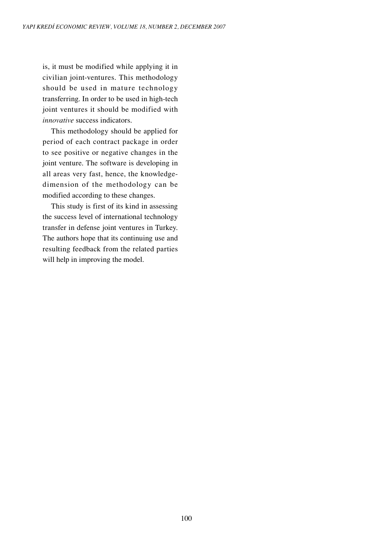is, it must be modified while applying it in civilian joint-ventures. This methodology should be used in mature technology transferring. In order to be used in high-tech joint ventures it should be modified with *innovative* success indicators.

This methodology should be applied for period of each contract package in order to see positive or negative changes in the joint venture. The software is developing in all areas very fast, hence, the knowledgedimension of the methodology can be modified according to these changes.

This study is first of its kind in assessing the success level of international technology transfer in defense joint ventures in Turkey. The authors hope that its continuing use and resulting feedback from the related parties will help in improving the model.

100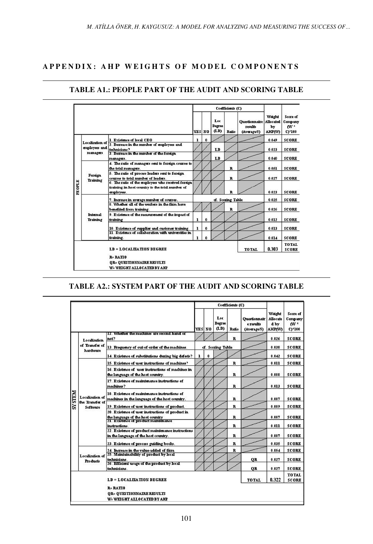# **APPENDIX: AHP WEIGHTS OF MODEL COMPONENTS**

|        |                                  |                                                                                                                     |        |                     |                       | Coefficients (C)  |                                                |                                                   |                                                |
|--------|----------------------------------|---------------------------------------------------------------------------------------------------------------------|--------|---------------------|-----------------------|-------------------|------------------------------------------------|---------------------------------------------------|------------------------------------------------|
|        |                                  |                                                                                                                     | YES NO |                     | Loc<br>Degree<br>(LD) | Ratio             | <b>Ouestionnaire</b><br>results<br>(Average/5) | Weight<br><b>Allocated</b><br>by<br><b>AHP(W)</b> | Score of<br>Company<br>W <sup>*</sup><br>CY100 |
|        |                                  | 1. Existence of local CEO                                                                                           | 1      | $\bf{0}$            |                       |                   |                                                | 0.049                                             | <b>SCORE</b>                                   |
|        | Localization of<br>employees and | 2. Decrease in the number of employees and<br>technicians?                                                          |        |                     | LB                    |                   |                                                | 0.023                                             | <b>SCORE</b>                                   |
|        | managers                         | 3. Decrease in the number of the foreign<br>managers.                                                               |        |                     | LD                    |                   |                                                | 0.040                                             | <b>SCORE</b>                                   |
|        | Foreign<br>Training              | 4. The ratio of managers sent to foreign courses to<br>the total managers.                                          |        |                     |                       | $\mathbf{R}$      |                                                | 0.051                                             | <b>SCORE</b>                                   |
|        |                                  | 5. The ratio of process leaders sent to foreign.<br>courses to total number of leaders.                             |        |                     |                       | $\mathbf{R}$      |                                                | 0.027                                             | <b>SCORE</b>                                   |
| PEOPLE |                                  | 6. The ratio of the employees who received foreign<br>training in host country to the total number of<br>employees. |        |                     |                       | R                 |                                                | 0.023                                             | <b>SCORE</b>                                   |
|        |                                  | 7. Increase in average number of courses.                                                                           |        |                     |                       | cf. Scozing Table |                                                | 0.025                                             | <b>SCORE</b>                                   |
|        |                                  | 8. Whether all of the workers in the firm have<br>benefited from training.                                          |        |                     |                       | $\mathbf R$       |                                                | 0.026                                             | <b>SCORE</b>                                   |
|        | Internal<br>Training             | 9. Existence of the measurement of the impact of<br>training                                                        | ı      | $\ddot{\mathbf{0}}$ |                       |                   |                                                | 0.012                                             | <b>SCORE</b>                                   |
|        |                                  | 10. Existence of supplier and customer training.                                                                    | ı      | $\mathbf{0}$        |                       |                   |                                                | 0.013                                             | <b>SCORE</b>                                   |
|        |                                  | 11. Existence of collaboration with universities in<br>training.                                                    | 1      |                     |                       |                   |                                                | 0.014                                             | <b>SCORE</b>                                   |
|        |                                  | <b>LD = LOCALIZATION DEGREE</b>                                                                                     |        |                     |                       |                   | <b>TOTAL</b>                                   | 0.303                                             | <b>TOTAL</b><br><b>SCORE</b>                   |
|        |                                  | <b>R=RATIO</b><br>OR= OUESTIONNAIRE RESULTS<br>W= WEIGHT ALLOCATED BY AHP                                           |        |                     |                       |                   |                                                |                                                   |                                                |

# **TABLE A1.: PEOPLE PART OF THE AUDIT AND SCORING TABLE**

# **TABLE A2.: SYSTEM PART OF THE AUDIT AND SCORING TABLE**

|               |                                                       |                                                                                                                              |   |              |                       | Coefficients (C) |                                          |                                             | Score of<br>Company<br>nv*<br>$C$ <sup>+100</sup> |
|---------------|-------------------------------------------------------|------------------------------------------------------------------------------------------------------------------------------|---|--------------|-----------------------|------------------|------------------------------------------|---------------------------------------------|---------------------------------------------------|
|               |                                                       |                                                                                                                              |   | YES NO       | Loc<br>Degree<br>(LD) | Ratio            | Ouestionnair<br>e results<br>(Average/5) | Weight<br>Allocate<br>d by<br><b>AHPAVA</b> |                                                   |
|               | Localization                                          | 17. Whether the machines are second hand or<br>not?                                                                          |   |              |                       | $\mathbf{R}$     |                                          | 0.026                                       | <b>SCORE</b>                                      |
|               | of Transfer of<br>hardware                            | 13. Frequency of out-of-order of the machines.                                                                               |   |              | cf. Scoring Table     |                  |                                          | 0.038                                       | <b>SCORE</b>                                      |
|               |                                                       | 14. Existence of substitutions during big defects?                                                                           | ı | $\mathbf{0}$ |                       |                  |                                          | 0.042                                       | <b>SCORE</b>                                      |
|               | Localization of<br>the Transfer of<br><b>Seftware</b> | 15. Existence of user instructions of machines?                                                                              |   |              |                       | $\mathbf{R}$     |                                          | 0.011                                       | <b>SCORE</b>                                      |
|               |                                                       | 16. Existence of user instructions of machines in<br>the language of the host country.                                       |   |              |                       | R                |                                          | 0.008                                       | <b>SCORE</b>                                      |
|               |                                                       | 17. Existence of maintenance instructions of<br>machines?                                                                    |   |              |                       | $\mathbf R$      |                                          | 0.013                                       | <b>SCORE</b>                                      |
| <b>N3LSAS</b> |                                                       | 18. Existence of maintenance instructions of<br>machines in the language of the host country.                                |   |              |                       | $\mathbf{R}$     |                                          | 0.007                                       | <b>SCORE</b>                                      |
|               |                                                       | 19. Existence of user instructions of product.                                                                               |   |              |                       | $\mathbf R$      |                                          | 0.009                                       | <b>SCORE</b>                                      |
|               |                                                       | 20. Existence of user instructions of product in<br>the language of the host country<br>71. Existence of product maintenance |   |              |                       | $\mathbf{R}$     |                                          | 0.007                                       | <b>SCORE</b>                                      |
|               |                                                       | instructions.                                                                                                                |   |              |                       | $\mathbf{R}$     |                                          | 0.011                                       | <b>SCORE</b>                                      |
|               |                                                       | 22. Existence of product maintenance instructions<br>in the language of the host country.                                    |   |              |                       | $\mathbf{R}$     |                                          | 0.007                                       | <b>SCORE</b>                                      |
|               |                                                       | 23. Existence of process guiding books.                                                                                      |   |              |                       | $\mathbf R$      |                                          | 0.035                                       | <b>SCORE</b>                                      |
|               |                                                       | 24. Increase in the value-added of firm                                                                                      |   |              |                       | $\bf{R}$         |                                          | 0.054                                       | <b>SCORE</b>                                      |
|               | Localization of<br><b>Products</b>                    | 25. Maintainability of product by local<br>technicians.<br>26. Efficient usage of the product by local                       |   |              |                       |                  | <b>OR</b>                                | 0.027                                       | <b>SCORE</b>                                      |
|               |                                                       | technicians.                                                                                                                 |   |              |                       |                  | <b>OR</b>                                | 0.027                                       | <b>SCORE</b>                                      |
|               |                                                       | <b>LD = LOCALIZATION DEGREE</b>                                                                                              |   |              |                       |                  | <b>TOTAL</b>                             | 0.322                                       | TO TAL<br><b>SCORE</b>                            |
|               |                                                       | <b>R= RATIO</b><br><b>OR= OUESTIONNAIRE RESULTS</b><br>W: WEIGHT ALLOCATED BY AHP                                            |   |              |                       |                  |                                          |                                             |                                                   |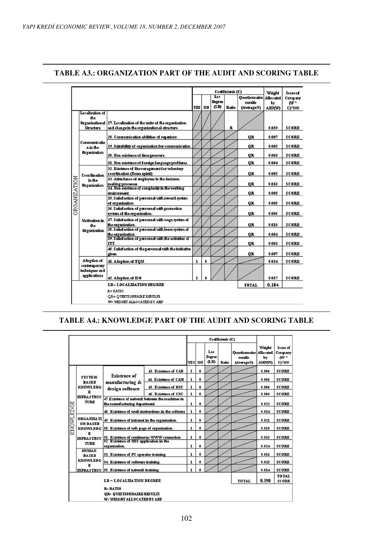|              |                                               |                                                                                                                |            |    |                    | Codificients (C) |                                                |                                                                                                                           | Score of               |
|--------------|-----------------------------------------------|----------------------------------------------------------------------------------------------------------------|------------|----|--------------------|------------------|------------------------------------------------|---------------------------------------------------------------------------------------------------------------------------|------------------------|
|              |                                               |                                                                                                                | <b>YES</b> | N0 | Loc<br>Degree<br>ጨ | Ratio            | <b>Ouestionnaire</b><br>results<br>(Average/5) | Weight<br><b>Allocated</b><br>ŀ٧<br><b>AHP(W)</b><br>0.059<br>0.007<br>0.005<br>0.003<br>0.004<br>0.005<br>0.010<br>0.005 | Company<br>W*<br>CY100 |
|              | Localization of<br>the.<br><b>Structure</b>   | Organizational 27. Localization of the units of the organization<br>and change in the organizational structure |            |    |                    | R                |                                                |                                                                                                                           | SCORE                  |
|              |                                               | 28. Communication abilities of superiors.                                                                      |            |    |                    |                  | <b>OR</b>                                      |                                                                                                                           | <b>SCORE</b>           |
|              | Communicatio<br>nin the                       | 29. Suitability of organization for communication                                                              |            |    |                    |                  | <b>OR</b>                                      |                                                                                                                           | SCORE                  |
|              | <b>Organization</b>                           | 30. Non-existence of time pressure                                                                             |            |    |                    |                  | <b>OR</b>                                      |                                                                                                                           | <b>SCORE</b>           |
|              |                                               | 31. Non-existence of foreign language problems.                                                                |            |    |                    |                  | QR                                             |                                                                                                                           | <b>SCORE</b>           |
|              | Coordination<br>in the<br><b>Organization</b> | 32. Existence of Encouragement for voluntary<br>coordination (Team spirit).                                    |            |    |                    |                  | <b>OR</b>                                      |                                                                                                                           | <b>SCORE</b>           |
| ORGANIZATION |                                               | 33. Attendance of employees to the decision-<br>making processes.                                              |            |    |                    |                  | <b>OR</b>                                      |                                                                                                                           | <b>SCORE</b>           |
|              |                                               | 34. Non-existence of complexity in the working<br>enironned.                                                   |            |    |                    |                  | <b>OR</b>                                      |                                                                                                                           | <b>SCORE</b>           |
|              |                                               | 35. Satisfaction of personnel with reward system.<br>of organization                                           |            |    |                    |                  | <b>OR</b>                                      | 0.005                                                                                                                     | <b>SCORE</b>           |
|              |                                               | 36. Satisfaction of personnel with promotion<br>system of the organization.                                    |            |    |                    |                  | <b>OR</b>                                      | 0.006                                                                                                                     | <b>SCORE</b>           |
|              | Motivation in<br>the.                         | 37. Satisfaction of personnel with wage system of<br>the organization.                                         |            |    |                    |                  | <b>OR</b>                                      | 0.010                                                                                                                     | <b>SCORE</b>           |
|              | <b>Organization</b>                           | 38. Satisfaction of personnel with leave system of<br>the organization.                                        |            |    |                    |                  | <b>OR</b>                                      | 0.004                                                                                                                     | <b>SCORE</b>           |
|              |                                               | 39. Salisfaction of personnel with the activities of<br><b>TTT</b>                                             |            |    |                    |                  | QR                                             | 0.003                                                                                                                     | SCORE                  |
|              |                                               | 40. Satisfaction of the personnel with the initiative<br>given.                                                |            |    |                    |                  | QR                                             | 0.007                                                                                                                     | <b>SCORE</b>           |
|              | Adoption of                                   | 41. Adeption of TQM                                                                                            | ı          | 0  |                    |                  |                                                | 0.034                                                                                                                     | <b>SCORE</b>           |
|              | contemporary<br>teduiques and<br>applications | 42. Adeption of ISO                                                                                            | ٦          |    |                    |                  |                                                | 0.017                                                                                                                     | <b>SCORE</b>           |
|              |                                               | <b>LD=LOCALIZATION DEGREE</b>                                                                                  |            |    |                    |                  | <b>TOTAL</b>                                   | 0.184                                                                                                                     |                        |
|              |                                               | $B = BATIO$<br><b>QR= QUESTIONNAIRE RESULTS</b><br>WE WEIGHT ALLOCATED BY AHP                                  |            |    |                    |                  |                                                |                                                                                                                           |                        |

# **TABLE A3.: ORGANIZATION PART OF THE AUDIT AND SCORING TABLE**

#### **TABLE A4.: KNOWLEDGE PART OF THE AUDIT AND SCORING TABLE**

|           |                                                                                                                       |                                                                                   |                                                    |              |               |                              | Coefficients (C) |                                                          |                               |                                                            |
|-----------|-----------------------------------------------------------------------------------------------------------------------|-----------------------------------------------------------------------------------|----------------------------------------------------|--------------|---------------|------------------------------|------------------|----------------------------------------------------------|-------------------------------|------------------------------------------------------------|
|           |                                                                                                                       |                                                                                   |                                                    |              | <b>YES NO</b> | Loc<br><b>Degree</b><br>(LD) | Ratio            | <b>Questionnaire Allocated</b><br>results<br>(Average/5) | Weight<br>by<br><b>AHPOVO</b> | Score of<br>Company<br>$\mathbf{w}$<br>$C$ <sup>+100</sup> |
|           |                                                                                                                       |                                                                                   | 43. Existence of CAD                               | ı            | û             |                              |                  |                                                          | 0.006                         | <b>SCORE</b>                                               |
|           | SYSTEM-<br><b>BASED</b>                                                                                               | <b>Existence</b> of                                                               | 44. Existence of CAM                               | $\mathbf{1}$ | ft.           |                              |                  |                                                          | 0.006                         | <b>SCORE</b>                                               |
|           | <b>KNOWLEDG</b>                                                                                                       | manufacturing &<br>design software                                                | 45. Existence of DNC                               | $\mathbf{I}$ | ń             |                              |                  |                                                          | 0.006                         | <b>SCORE</b>                                               |
|           | к                                                                                                                     |                                                                                   | 46. Existence of CNC                               | $\mathbf{I}$ | û             |                              |                  |                                                          | 0.006                         | <b>SCORE</b>                                               |
|           | <b>INFRASTRUC</b><br><b>TURE</b>                                                                                      | 47. Existence of network between the machines in<br>the manufacturing department. |                                                    | $\mathbf{1}$ | û             |                              |                  |                                                          | 0.022                         | <b>SCORE</b>                                               |
|           |                                                                                                                       |                                                                                   | 48. Existence of work instructions in the software | ı            | 0             |                              |                  |                                                          | 0.014                         | <b>SCORE</b>                                               |
| KNOWLEDGE | <b>ORGANIZATI</b><br><b>ON-BASED</b><br>KNOWLEDG 50. Existence of web page of organization.<br>ĸ<br><b>INFRASTRUC</b> | 49. Existence of indranet in the organization.                                    |                                                    | ī            | û             |                              |                  |                                                          | 0.021                         | <b>SCORE</b>                                               |
|           |                                                                                                                       |                                                                                   |                                                    | ı            | $\mathbf{0}$  |                              |                  |                                                          | 0.015                         | <b>SCORE</b>                                               |
|           |                                                                                                                       | 51. Existence of continuous WWW connection.                                       |                                                    | ı            | $\mathbf{0}$  |                              |                  |                                                          | 0.015                         | <b>SCORE</b>                                               |
|           | <b>TURE</b>                                                                                                           | 52. Existence of MIS application in the<br>erganization.                          |                                                    | $\mathbf{1}$ | û             |                              |                  |                                                          | 0.024                         | <b>SCORE</b>                                               |
|           | HUMAN-<br><b>BASED</b>                                                                                                | 53. Existence of PC operator training.                                            |                                                    | ı            | û             |                              |                  |                                                          | 0.016                         | <b>SCORE</b>                                               |
|           | <b>KNOWLEDG</b>                                                                                                       | 54. Existence of software training.                                               |                                                    | ı            | 0             |                              |                  |                                                          | 0.025                         | <b>SCORE</b>                                               |
|           | к                                                                                                                     | INFRASTRUC 55. Existence of network training.                                     |                                                    | ı            | û             |                              |                  |                                                          | 0.014                         | <b>SCORE</b>                                               |
|           |                                                                                                                       | <b>LD = LOCALIZATION DEGREE</b>                                                   |                                                    |              |               |                              |                  | TOTAL                                                    | 0.190                         | <b>TOTAL</b><br><b>SCORE</b>                               |
|           |                                                                                                                       | <b>R= RATIO</b><br><b>OR= OUESTIONNAIRE RESULTS</b><br>W=WEIGHT ALLOCATED BY AHP  |                                                    |              |               |                              |                  |                                                          |                               |                                                            |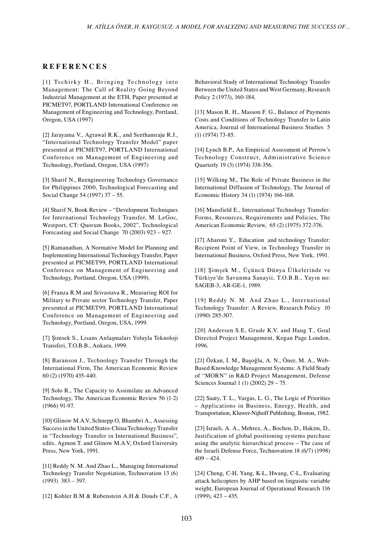### **R E F E R E N C E S**

[1] Tschirky H., Bringing Technology into Management: The Call of Reality Going Beyond Industrial Management at the ETH, Paper presented at PICMET97, PORTLAND International Conference on Management of Engineering and Technology, Portland, Oregon, USA (1997)

[2] Jarayama V., Agrawal R.K., and Seethamraju R.J., "International Technology Transfer Model" paper presented at PICMET97, PORTLAND International Conference on Management of Engineering and Technology, Portland, Oregon, USA (1997)

[3] Sharif N., Reengineering Technology Governance for Philippines 2000, Technological Forecasting and Social Change 54 (1997) 37 – 55.

[4] Sharif N, Book Review – "Development Techniques for International Technology Transfer, M. LeGoc, Westport, CT: Quorum Books, 2002", Technological Forecasting and Social Change 70 (2003) 923 – 927.

[5] Ramanathan, A Normative Model for Planning and Implementing International Technology Transfer, Paper presented at PICMET99, PORTLAND International Conference on Management of Engineering and Technology, Portland, Oregon, USA (1999).

[6] Franza R.M and Srivastava R., Measuring ROI for Military to Private sector Technology Transfer, Paper presented at PICMET99, PORTLAND International Conference on Management of Engineering and Technology, Portland, Oregon, USA, 1999.

[7] Şimsek S., Lisans Anlaşmaları Yoluyla Teknoloji Transferi, T.O.B.B., Ankara, 1999.

[8] Baranson J., Technology Transfer Through the International Firm, The American Economic Review 60 (2) (1970) 435-440.

[9] Solo R., The Capacity to Assimilate an Advanced Technology, The American Economic Review 56 (1-2) (1966) 91-97.

[10] Glinow M.A.V, Schnepp O, Bhambri A., Assessing Success in the United States-China Technology Transfer in "Technology Transfer in International Business", edits. Agmon T. and Glinow M.A.V, Oxford University Press, New York, 1991.

[11] Reddy N. M. And Zhao L., Managing International Technology Transfer Negotiation, Technovation 13 (6) (1993) 383 – 397.

[12] Kohler B.M & Rubenstein A.H.& Douds C.F., A

Behavioral Study of International Technology Transfer Between the United States and West Germany, Research Policy 2 (1973), 160-184.

[13] Mason R. H., Masson F. G., Balance of Payments Costs and Conditions of Technology Transfer to Latin America, Journal of International Business Studies 5 (1) (1974) 73-85.

[14] Lynch B.P., An Empirical Assessment of Perrow's Technology Construct, Administrative Science Quarterly 19 (3) (1974) 338-356.

[15] Wilking M., The Role of Private Business in the International Diffusion of Technology, The Journal of Economic History 34 (1) (1974) 166-168.

[16] Mansfield E., International Technology Transfer: Forms, Resources, Requirements and Policies, The American Economic Review, 65 (2) (1975) 372-376.

[17] Aharoni Y., Education and technology Transfer: Recipient Point of View, in Technology Transfer in International Business, Oxford Press, New York, 1991.

[18] Şimşek M., Üçüncü Dünya Ülkelerinde ve Türkiye'de Savunma Sanayii, T.O.B.B., Yayın no: SAGEB-3, AR-GE-1, 1989.

[19] Reddy N. M. And Zhao L., International Technology Transfer: A Review, Research Policy 10 (1990) 285-307.

[20] Andersen S.E, Grude K.V. and Haug T., Goal Directed Project Management, Kogan Page London, 1996.

[21] Özkan, İ. M., Başoğlu, A. N., Öner, M. A., Web-Based Knowledge Management Systems: A Field Study of "MORN" in R&D Project Management, Defense Sciences Journal 1 (1) (2002) 29 – 75.

[22] Saaty, T. L., Vargas, L. G., The Logic of Priorities – Applications in Business, Energy, Health, and Transportation, Kluwer-Nijhoff Publishing, Boston, 1982.

[23] Israeli, A. A., Mehrez, A., Bochen, D., Hakim, D., Justification of global positioning systems purchase using the analytic hierarchical process – The case of the Israeli Defense Force, Technovation 18 (6/7) (1998)  $409 - 424.$ 

[24] Cheng, C-H, Yang, K-L, Hwang, C-L, Evaluating attack helicopters by AHP based on linguistic variable weight, European Journal of Operational Research 116 (1999), 423 – 435.